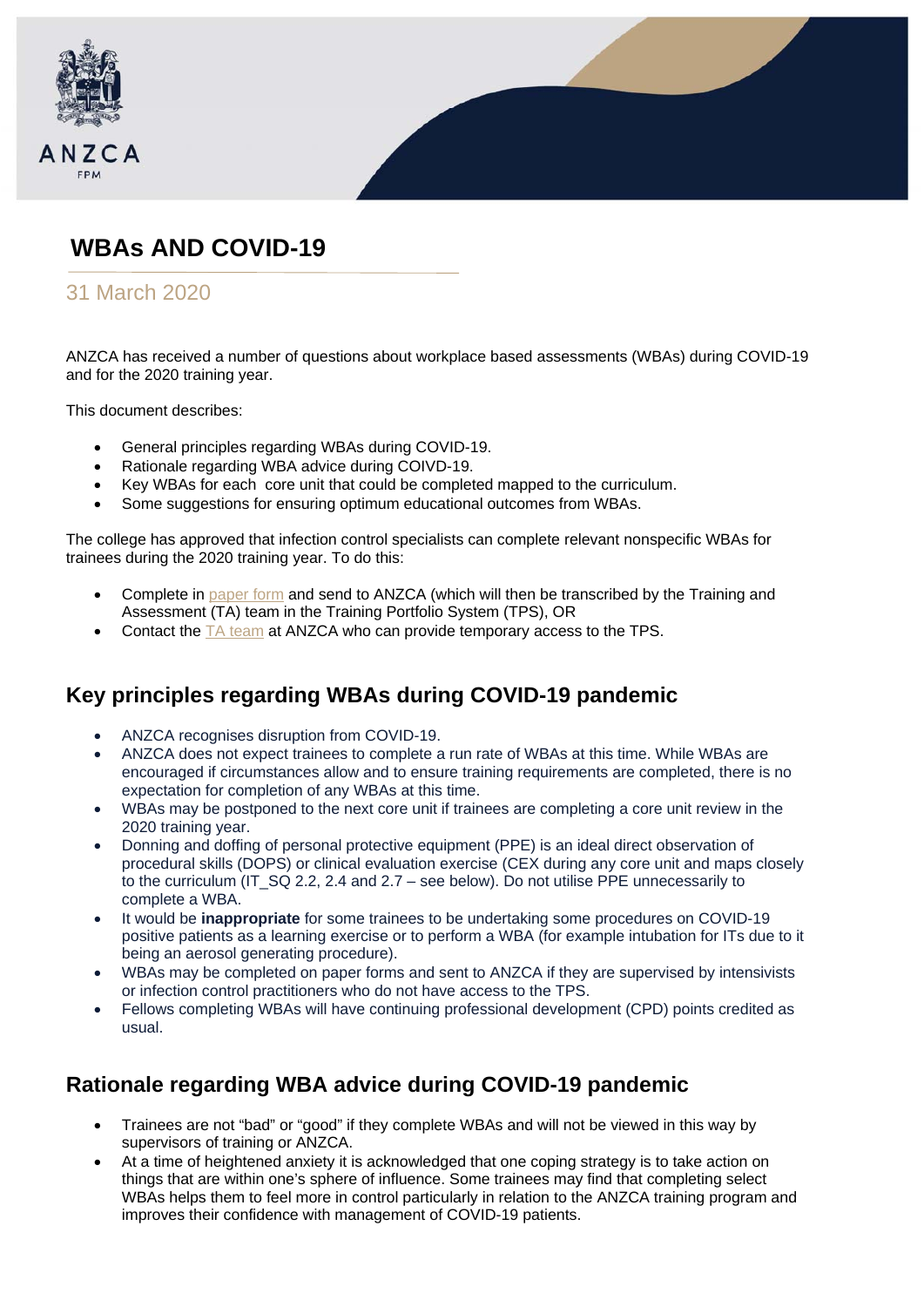

# **WBAs AND COVID-19**

#### 31 March 2020

ANZCA has received a number of questions about workplace based assessments (WBAs) during COVID-19 and for the 2020 training year.

This document describes:

- General principles regarding WBAs during COVID-19.
- Rationale regarding WBA advice during COIVD-19.
- Key WBAs for each core unit that could be completed mapped to the curriculum.
- Some suggestions for ensuring optimum educational outcomes from WBAs.

The college has approved that infection control specialists can complete relevant nonspecific WBAs for trainees during the 2020 training year. To do this:

- Complete in [paper form](http://www.anzca.edu.au/training/2013-training-program/forms) and send to ANZCA (which will then be transcribed by the Training and Assessment (TA) team in the Training Portfolio System (TPS), OR
- Contact the [TA team](mailto:training@anzca.edu.au) at ANZCA who can provide temporary access to the TPS.

## **Key principles regarding WBAs during COVID-19 pandemic**

- ANZCA recognises disruption from COVID-19.
- ANZCA does not expect trainees to complete a run rate of WBAs at this time. While WBAs are encouraged if circumstances allow and to ensure training requirements are completed, there is no expectation for completion of any WBAs at this time.
- WBAs may be postponed to the next core unit if trainees are completing a core unit review in the 2020 training year.
- Donning and doffing of personal protective equipment (PPE) is an ideal direct observation of procedural skills (DOPS) or clinical evaluation exercise (CEX during any core unit and maps closely to the curriculum (IT\_SQ 2.2, 2.4 and 2.7 – see below). Do not utilise PPE unnecessarily to complete a WBA.
- It would be **inappropriate** for some trainees to be undertaking some procedures on COVID-19 positive patients as a learning exercise or to perform a WBA (for example intubation for ITs due to it being an aerosol generating procedure).
- WBAs may be completed on paper forms and sent to ANZCA if they are supervised by intensivists or infection control practitioners who do not have access to the TPS.
- Fellows completing WBAs will have continuing professional development (CPD) points credited as usual.

## **Rationale regarding WBA advice during COVID-19 pandemic**

- Trainees are not "bad" or "good" if they complete WBAs and will not be viewed in this way by supervisors of training or ANZCA.
- At a time of heightened anxiety it is acknowledged that one coping strategy is to take action on things that are within one's sphere of influence. Some trainees may find that completing select WBAs helps them to feel more in control particularly in relation to the ANZCA training program and improves their confidence with management of COVID-19 patients.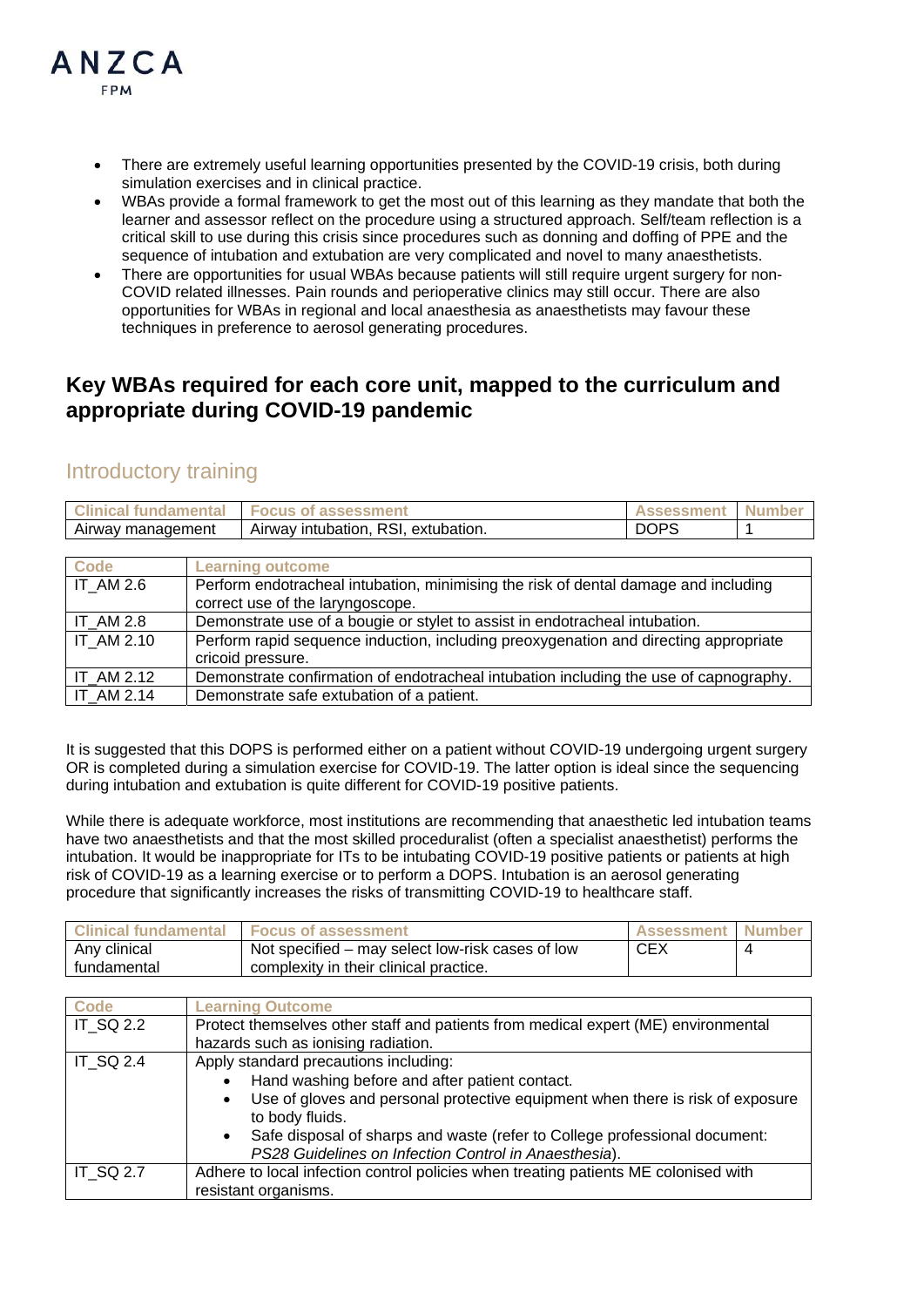

- There are extremely useful learning opportunities presented by the COVID-19 crisis, both during simulation exercises and in clinical practice.
- WBAs provide a formal framework to get the most out of this learning as they mandate that both the learner and assessor reflect on the procedure using a structured approach. Self/team reflection is a critical skill to use during this crisis since procedures such as donning and doffing of PPE and the sequence of intubation and extubation are very complicated and novel to many anaesthetists.
- There are opportunities for usual WBAs because patients will still require urgent surgery for non-COVID related illnesses. Pain rounds and perioperative clinics may still occur. There are also opportunities for WBAs in regional and local anaesthesia as anaesthetists may favour these techniques in preference to aerosol generating procedures.

#### **Key WBAs required for each core unit, mapped to the curriculum and appropriate during COVID-19 pandemic**

#### Introductory training

| <b>Clinical fundamental</b> | <b>Focus of assessment</b>          | <b>Assessment</b> | <b>Numbe</b> |
|-----------------------------|-------------------------------------|-------------------|--------------|
| Airway management           | Airway intubation, RSI, extubation. |                   |              |

| <b>Code</b>      | <b>Learning outcome</b>                                                               |
|------------------|---------------------------------------------------------------------------------------|
| <b>IT AM 2.6</b> | Perform endotracheal intubation, minimising the risk of dental damage and including   |
|                  | correct use of the laryngoscope.                                                      |
| ITAM2.8          | Demonstrate use of a bougie or stylet to assist in endotracheal intubation.           |
| IT AM 2.10       | Perform rapid sequence induction, including preoxygenation and directing appropriate  |
|                  | cricoid pressure.                                                                     |
| $IT_AM 2.12$     | Demonstrate confirmation of endotracheal intubation including the use of capnography. |
| IT AM 2.14       | Demonstrate safe extubation of a patient.                                             |

It is suggested that this DOPS is performed either on a patient without COVID-19 undergoing urgent surgery OR is completed during a simulation exercise for COVID-19. The latter option is ideal since the sequencing during intubation and extubation is quite different for COVID-19 positive patients.

While there is adequate workforce, most institutions are recommending that anaesthetic led intubation teams have two anaesthetists and that the most skilled proceduralist (often a specialist anaesthetist) performs the intubation. It would be inappropriate for ITs to be intubating COVID-19 positive patients or patients at high risk of COVID-19 as a learning exercise or to perform a DOPS. Intubation is an aerosol generating procedure that significantly increases the risks of transmitting COVID-19 to healthcare staff.

| <b>Clinical fundamental</b> | <b>Focus of assessment</b>                       | <b>Assessment Number</b> |  |
|-----------------------------|--------------------------------------------------|--------------------------|--|
| Any clinical                | Not specified – may select low-risk cases of low | <b>CEX</b>               |  |
| fundamental                 | complexity in their clinical practice.           |                          |  |

| <b>Code</b>      | <b>Learning Outcome</b>                                                                                     |
|------------------|-------------------------------------------------------------------------------------------------------------|
| <b>IT SQ 2.2</b> | Protect themselves other staff and patients from medical expert (ME) environmental                          |
|                  | hazards such as ionising radiation.                                                                         |
| <b>IT SQ 2.4</b> | Apply standard precautions including:                                                                       |
|                  | Hand washing before and after patient contact.                                                              |
|                  | Use of gloves and personal protective equipment when there is risk of exposure<br>٠<br>to body fluids.      |
|                  | Safe disposal of sharps and waste (refer to College professional document:<br>$\bullet$                     |
|                  | PS28 Guidelines on Infection Control in Anaesthesia).                                                       |
| <b>IT SQ 2.7</b> | Adhere to local infection control policies when treating patients ME colonised with<br>resistant organisms. |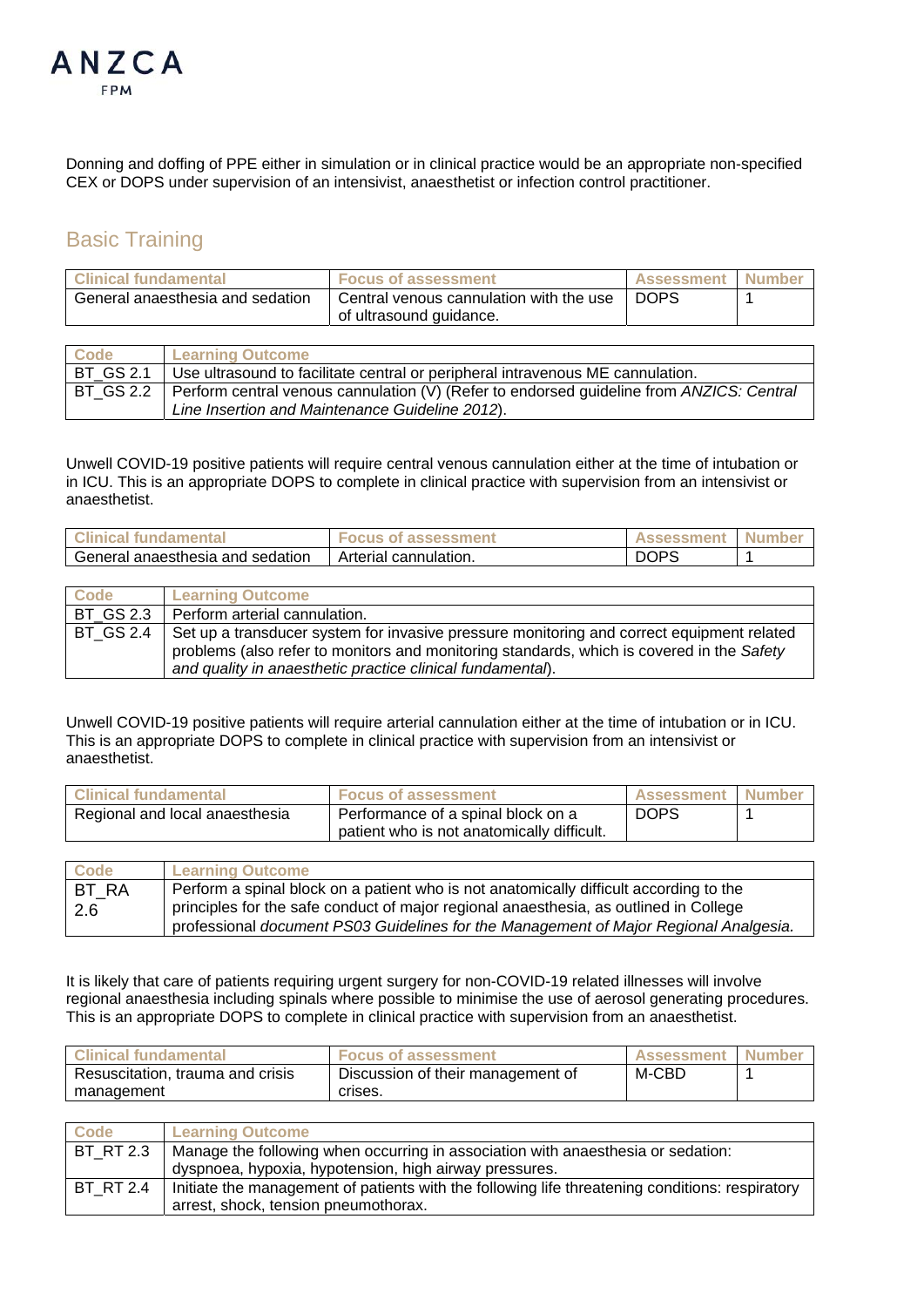

Donning and doffing of PPE either in simulation or in clinical practice would be an appropriate non-specified CEX or DOPS under supervision of an intensivist, anaesthetist or infection control practitioner.

#### Basic Training

| <b>Clinical fundamental</b>      | <b>Focus of assessment</b>              | <b>Assessment</b> | <b>Number</b> |
|----------------------------------|-----------------------------------------|-------------------|---------------|
| General anaesthesia and sedation | Central venous cannulation with the use | <b>DOPS</b>       |               |
|                                  | of ultrasound guidance.                 |                   |               |

| Code      | <b>Learning Outcome</b>                                                                              |
|-----------|------------------------------------------------------------------------------------------------------|
| BT GS 2.1 | Use ultrasound to facilitate central or peripheral intravenous ME cannulation.                       |
|           | BT_GS 2.2   Perform central venous cannulation (V) (Refer to endorsed guideline from ANZICS: Central |
|           | Line Insertion and Maintenance Guideline 2012).                                                      |

Unwell COVID-19 positive patients will require central venous cannulation either at the time of intubation or in ICU. This is an appropriate DOPS to complete in clinical practice with supervision from an intensivist or anaesthetist.

| <b>Clinical</b><br><b>I</b> fundamental | <b>of assessment</b><br>-ocus | <b>Assessment</b> | <b>Number</b> |
|-----------------------------------------|-------------------------------|-------------------|---------------|
| General anaesthesia and sedation        | Arterial cannulation.         | DOPS              |               |

| <b>Code</b> | <b>Learning Outcome</b>                                                                   |
|-------------|-------------------------------------------------------------------------------------------|
| BT GS 2.3   | Perform arterial cannulation.                                                             |
| l BT GS 2.4 | Set up a transducer system for invasive pressure monitoring and correct equipment related |
|             | problems (also refer to monitors and monitoring standards, which is covered in the Safety |
|             | and quality in anaesthetic practice clinical fundamental).                                |

Unwell COVID-19 positive patients will require arterial cannulation either at the time of intubation or in ICU. This is an appropriate DOPS to complete in clinical practice with supervision from an intensivist or anaesthetist.

| Clinical fundamental           | <b>Focus of assessment</b>                 | <b>Assessment</b> | <b>I Number</b> |
|--------------------------------|--------------------------------------------|-------------------|-----------------|
| Regional and local anaesthesia | Performance of a spinal block on a         | DOPS              |                 |
|                                | patient who is not anatomically difficult. |                   |                 |

| Code         | <b>Learning Outcome</b>                                                                |
|--------------|----------------------------------------------------------------------------------------|
| <b>BT RA</b> | Perform a spinal block on a patient who is not anatomically difficult according to the |
| -2.6         | principles for the safe conduct of major regional anaesthesia, as outlined in College  |
|              | professional document PS03 Guidelines for the Management of Major Regional Analgesia.  |

It is likely that care of patients requiring urgent surgery for non-COVID-19 related illnesses will involve regional anaesthesia including spinals where possible to minimise the use of aerosol generating procedures. This is an appropriate DOPS to complete in clinical practice with supervision from an anaesthetist.

| <b>Clinical fundamental</b>      | <b>Focus of assessment</b>        | <b>Assessment</b> | l Number |
|----------------------------------|-----------------------------------|-------------------|----------|
| Resuscitation, trauma and crisis | Discussion of their management of | M-CBD             |          |
| management                       | crises.                           |                   |          |

| Code             | <b>Learning Outcome</b>                                                                         |
|------------------|-------------------------------------------------------------------------------------------------|
| <b>BT RT 2.3</b> | Manage the following when occurring in association with anaesthesia or sedation:                |
|                  | dyspnoea, hypoxia, hypotension, high airway pressures.                                          |
| <b>BT RT 2.4</b> | Initiate the management of patients with the following life threatening conditions: respiratory |
|                  | arrest, shock, tension pneumothorax.                                                            |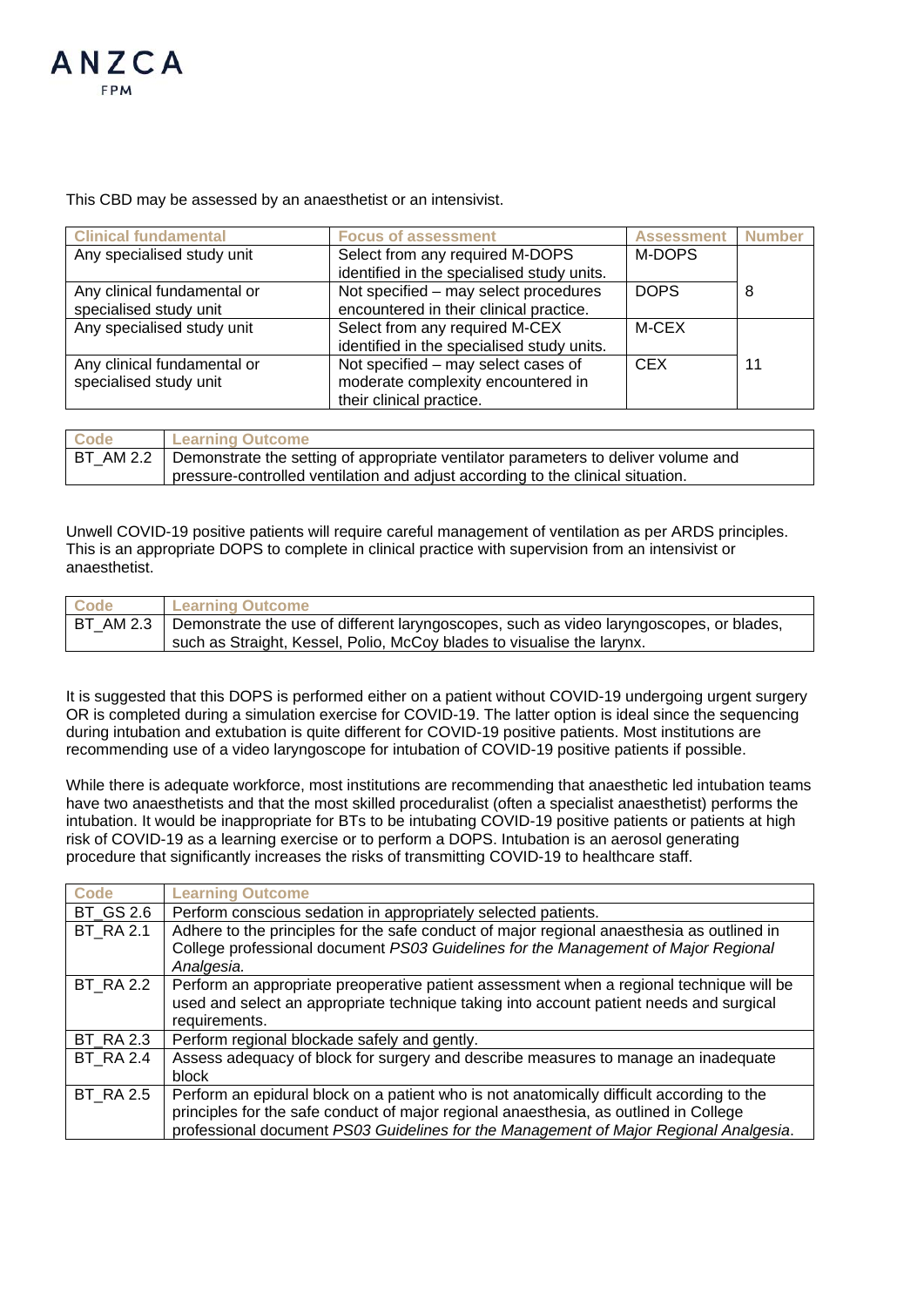

This CBD may be assessed by an anaesthetist or an intensivist.

| <b>Clinical fundamental</b> | <b>Focus of assessment</b>                 | <b>Assessment</b> | <b>Number</b> |
|-----------------------------|--------------------------------------------|-------------------|---------------|
| Any specialised study unit  | Select from any required M-DOPS            | M-DOPS            |               |
|                             | identified in the specialised study units. |                   |               |
| Any clinical fundamental or | Not specified - may select procedures      | DOPS              | 8             |
| specialised study unit      | encountered in their clinical practice.    |                   |               |
| Any specialised study unit  | Select from any required M-CEX             | M-CEX             |               |
|                             | identified in the specialised study units. |                   |               |
| Any clinical fundamental or | Not specified – may select cases of        | <b>CEX</b>        | 11            |
| specialised study unit      | moderate complexity encountered in         |                   |               |
|                             | their clinical practice.                   |                   |               |

| <b>Code</b> | <b>Learning Outcome</b>                                                                        |
|-------------|------------------------------------------------------------------------------------------------|
|             | BT_AM 2.2   Demonstrate the setting of appropriate ventilator parameters to deliver volume and |
|             | pressure-controlled ventilation and adjust according to the clinical situation.                |

Unwell COVID-19 positive patients will require careful management of ventilation as per ARDS principles. This is an appropriate DOPS to complete in clinical practice with supervision from an intensivist or anaesthetist.

| <b>Code</b> | <b>Learning Outcome</b>                                                                 |
|-------------|-----------------------------------------------------------------------------------------|
| BT AM 2.3   | Demonstrate the use of different laryngoscopes, such as video laryngoscopes, or blades, |
|             | such as Straight, Kessel, Polio, McCoy blades to visualise the larynx.                  |

It is suggested that this DOPS is performed either on a patient without COVID-19 undergoing urgent surgery OR is completed during a simulation exercise for COVID-19. The latter option is ideal since the sequencing during intubation and extubation is quite different for COVID-19 positive patients. Most institutions are recommending use of a video laryngoscope for intubation of COVID-19 positive patients if possible.

While there is adequate workforce, most institutions are recommending that anaesthetic led intubation teams have two anaesthetists and that the most skilled proceduralist (often a specialist anaesthetist) performs the intubation. It would be inappropriate for BTs to be intubating COVID-19 positive patients or patients at high risk of COVID-19 as a learning exercise or to perform a DOPS. Intubation is an aerosol generating procedure that significantly increases the risks of transmitting COVID-19 to healthcare staff.

| <b>Code</b>      | <b>Learning Outcome</b>                                                                                                                                                                                                                                                     |
|------------------|-----------------------------------------------------------------------------------------------------------------------------------------------------------------------------------------------------------------------------------------------------------------------------|
| <b>BT GS 2.6</b> | Perform conscious sedation in appropriately selected patients.                                                                                                                                                                                                              |
| <b>BT RA 2.1</b> | Adhere to the principles for the safe conduct of major regional anaesthesia as outlined in<br>College professional document PS03 Guidelines for the Management of Major Regional<br>Analgesia.                                                                              |
| <b>BT_RA 2.2</b> | Perform an appropriate preoperative patient assessment when a regional technique will be<br>used and select an appropriate technique taking into account patient needs and surgical<br>requirements.                                                                        |
| <b>BT_RA 2.3</b> | Perform regional blockade safely and gently.                                                                                                                                                                                                                                |
| <b>BT RA 2.4</b> | Assess adequacy of block for surgery and describe measures to manage an inadequate<br>block                                                                                                                                                                                 |
| <b>BT RA 2.5</b> | Perform an epidural block on a patient who is not anatomically difficult according to the<br>principles for the safe conduct of major regional anaesthesia, as outlined in College<br>professional document PS03 Guidelines for the Management of Major Regional Analgesia. |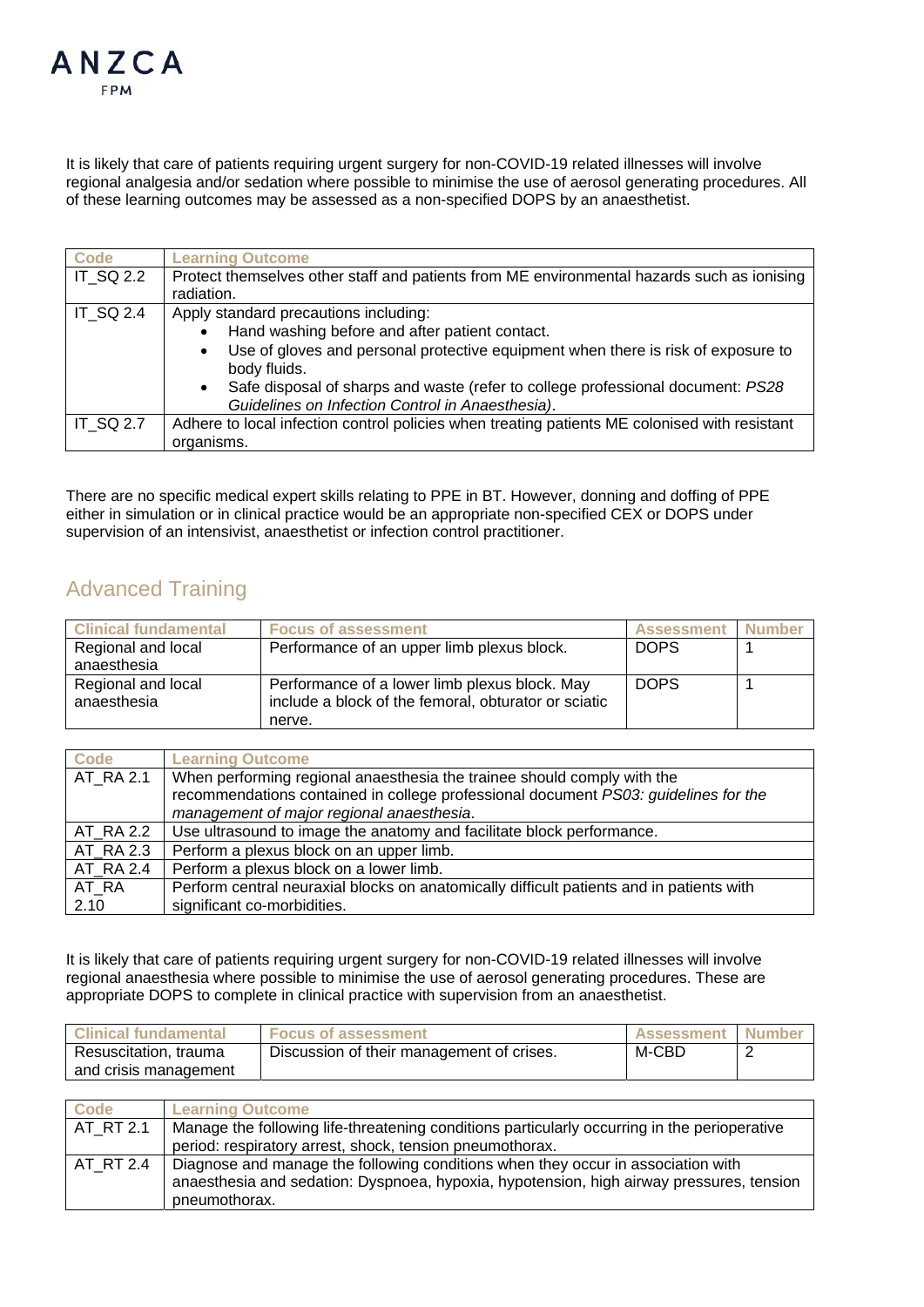

It is likely that care of patients requiring urgent surgery for non-COVID-19 related illnesses will involve regional analgesia and/or sedation where possible to minimise the use of aerosol generating procedures. All of these learning outcomes may be assessed as a non-specified DOPS by an anaesthetist.

| Code             | <b>Learning Outcome</b>                                                                                                                           |
|------------------|---------------------------------------------------------------------------------------------------------------------------------------------------|
| IT SQ 2.2        | Protect themselves other staff and patients from ME environmental hazards such as ionising                                                        |
|                  | radiation.                                                                                                                                        |
| IT SQ 2.4        | Apply standard precautions including:                                                                                                             |
|                  | Hand washing before and after patient contact.<br>$\bullet$                                                                                       |
|                  | Use of gloves and personal protective equipment when there is risk of exposure to<br>$\bullet$<br>body fluids.                                    |
|                  | Safe disposal of sharps and waste (refer to college professional document: PS28)<br>$\bullet$<br>Guidelines on Infection Control in Anaesthesia). |
| <b>IT SQ 2.7</b> | Adhere to local infection control policies when treating patients ME colonised with resistant<br>organisms.                                       |

There are no specific medical expert skills relating to PPE in BT. However, donning and doffing of PPE either in simulation or in clinical practice would be an appropriate non-specified CEX or DOPS under supervision of an intensivist, anaesthetist or infection control practitioner.

## Advanced Training

| <b>Clinical fundamental</b>       | <b>Focus of assessment</b>                                                                            | <b>Assessment</b> | <b>Number</b> |
|-----------------------------------|-------------------------------------------------------------------------------------------------------|-------------------|---------------|
| Regional and local                | Performance of an upper limb plexus block.                                                            | <b>DOPS</b>       |               |
| anaesthesia                       |                                                                                                       |                   |               |
| Regional and local<br>anaesthesia | Performance of a lower limb plexus block. May<br>include a block of the femoral, obturator or sciatic | <b>DOPS</b>       |               |
|                                   | nerve.                                                                                                |                   |               |

| <b>Code</b>            | <b>Learning Outcome</b>                                                                  |
|------------------------|------------------------------------------------------------------------------------------|
| $\overline{AT}$ RA 2.1 | When performing regional anaesthesia the trainee should comply with the                  |
|                        | recommendations contained in college professional document PS03: guidelines for the      |
|                        | management of major regional anaesthesia.                                                |
| AT RA 2.2              | Use ultrasound to image the anatomy and facilitate block performance.                    |
| AT RA 2.3              | Perform a plexus block on an upper limb.                                                 |
| AT RA 2.4              | Perform a plexus block on a lower limb.                                                  |
| AT RA                  | Perform central neuraxial blocks on anatomically difficult patients and in patients with |
| 2.10                   | significant co-morbidities.                                                              |

It is likely that care of patients requiring urgent surgery for non-COVID-19 related illnesses will involve regional anaesthesia where possible to minimise the use of aerosol generating procedures. These are appropriate DOPS to complete in clinical practice with supervision from an anaesthetist.

| <b>Clinical fundamental</b> | <b>Focus of assessment</b>                | <b>Assessment Number</b> |  |
|-----------------------------|-------------------------------------------|--------------------------|--|
| Resuscitation, trauma       | Discussion of their management of crises. | M-CBD                    |  |
| and crisis management       |                                           |                          |  |

| Code      | <b>Learning Outcome</b>                                                                      |
|-----------|----------------------------------------------------------------------------------------------|
| AT RT 2.1 | Manage the following life-threatening conditions particularly occurring in the perioperative |
|           | period: respiratory arrest, shock, tension pneumothorax.                                     |
| AT RT 2.4 | Diagnose and manage the following conditions when they occur in association with             |
|           | anaesthesia and sedation: Dyspnoea, hypoxia, hypotension, high airway pressures, tension     |
|           | pneumothorax.                                                                                |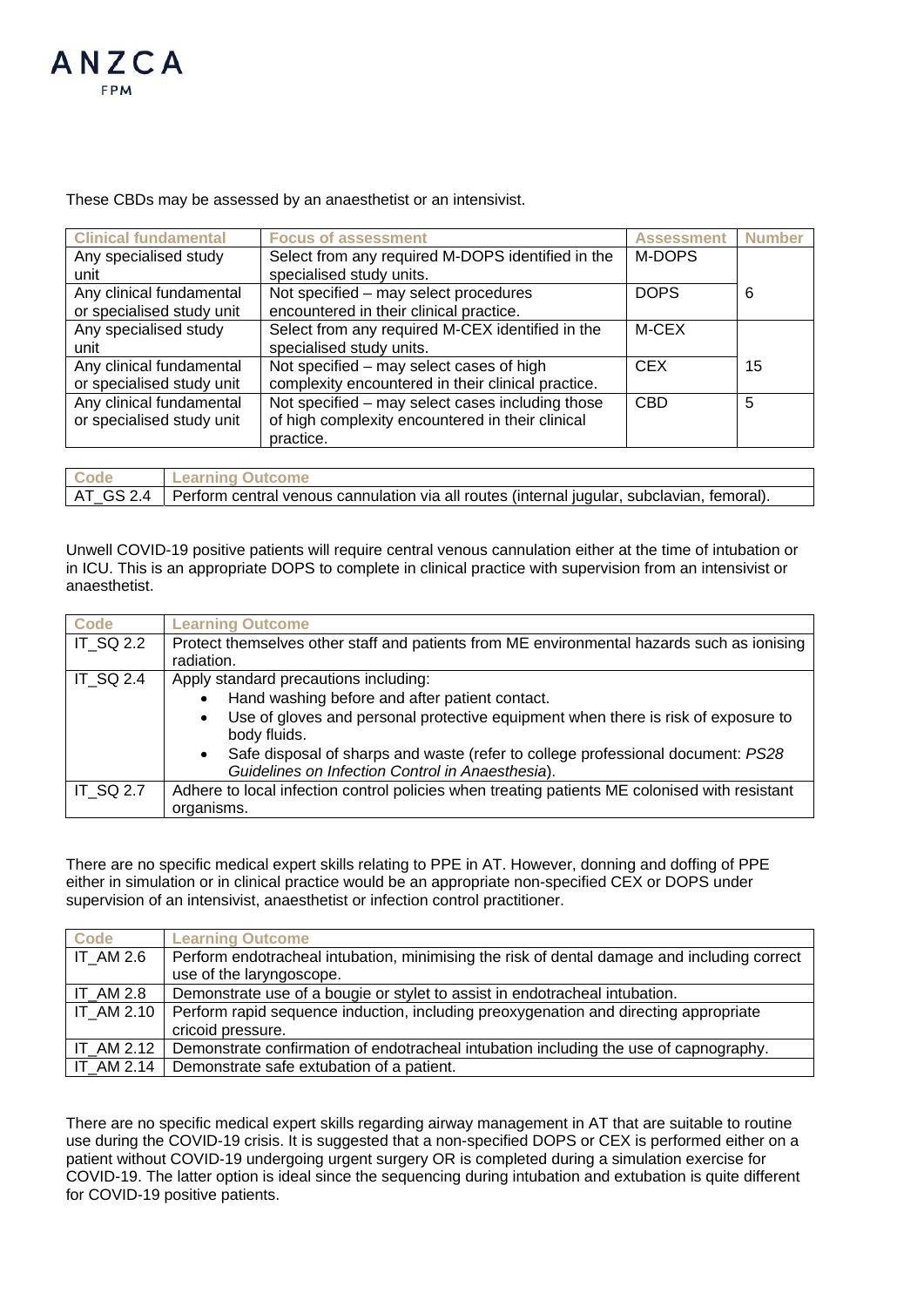

These CBDs may be assessed by an anaesthetist or an intensivist.

| <b>Clinical fundamental</b> | <b>Focus of assessment</b>                         | <b>Assessment</b> | <b>Number</b> |
|-----------------------------|----------------------------------------------------|-------------------|---------------|
| Any specialised study       | Select from any required M-DOPS identified in the  | M-DOPS            |               |
| unit                        | specialised study units.                           |                   |               |
| Any clinical fundamental    | Not specified - may select procedures              | <b>DOPS</b>       | 6             |
| or specialised study unit   | encountered in their clinical practice.            |                   |               |
| Any specialised study       | Select from any required M-CEX identified in the   | M-CEX             |               |
| unit                        | specialised study units.                           |                   |               |
| Any clinical fundamental    | Not specified – may select cases of high           | <b>CEX</b>        | 15            |
| or specialised study unit   | complexity encountered in their clinical practice. |                   |               |
| Any clinical fundamental    | Not specified - may select cases including those   | <b>CBD</b>        | 5             |
| or specialised study unit   | of high complexity encountered in their clinical   |                   |               |
|                             | practice.                                          |                   |               |

| Code | <b>Learning Outcome</b>                                                                                |
|------|--------------------------------------------------------------------------------------------------------|
|      | AT_GS 2.4   Perform central venous cannulation via all routes (internal jugular, subclavian, femoral). |

Unwell COVID-19 positive patients will require central venous cannulation either at the time of intubation or in ICU. This is an appropriate DOPS to complete in clinical practice with supervision from an intensivist or anaesthetist.

| <b>Code</b>      | <b>Learning Outcome</b>                                                                                                                          |
|------------------|--------------------------------------------------------------------------------------------------------------------------------------------------|
| IT_SQ 2.2        | Protect themselves other staff and patients from ME environmental hazards such as ionising                                                       |
|                  | radiation.                                                                                                                                       |
| <b>IT SQ 2.4</b> | Apply standard precautions including:                                                                                                            |
|                  | Hand washing before and after patient contact.<br>$\bullet$                                                                                      |
|                  | Use of gloves and personal protective equipment when there is risk of exposure to<br>$\bullet$<br>body fluids.                                   |
|                  | Safe disposal of sharps and waste (refer to college professional document: PS28<br>$\bullet$<br>Guidelines on Infection Control in Anaesthesia). |
| <b>IT SQ 2.7</b> | Adhere to local infection control policies when treating patients ME colonised with resistant                                                    |
|                  | organisms.                                                                                                                                       |

There are no specific medical expert skills relating to PPE in AT. However, donning and doffing of PPE either in simulation or in clinical practice would be an appropriate non-specified CEX or DOPS under supervision of an intensivist, anaesthetist or infection control practitioner.

| Code              | <b>Learning Outcome</b>                                                                     |  |
|-------------------|---------------------------------------------------------------------------------------------|--|
| <b>IT AM 2.6</b>  | Perform endotracheal intubation, minimising the risk of dental damage and including correct |  |
|                   | use of the laryngoscope.                                                                    |  |
| <b>IT AM 2.8</b>  | Demonstrate use of a bougie or stylet to assist in endotracheal intubation.                 |  |
| <b>IT AM 2.10</b> | Perform rapid sequence induction, including preoxygenation and directing appropriate        |  |
|                   | cricoid pressure.                                                                           |  |
| IT AM 2.12        | Demonstrate confirmation of endotracheal intubation including the use of capnography.       |  |
| IT AM 2.14        | Demonstrate safe extubation of a patient.                                                   |  |

There are no specific medical expert skills regarding airway management in AT that are suitable to routine use during the COVID-19 crisis. It is suggested that a non-specified DOPS or CEX is performed either on a patient without COVID-19 undergoing urgent surgery OR is completed during a simulation exercise for COVID-19. The latter option is ideal since the sequencing during intubation and extubation is quite different for COVID-19 positive patients.